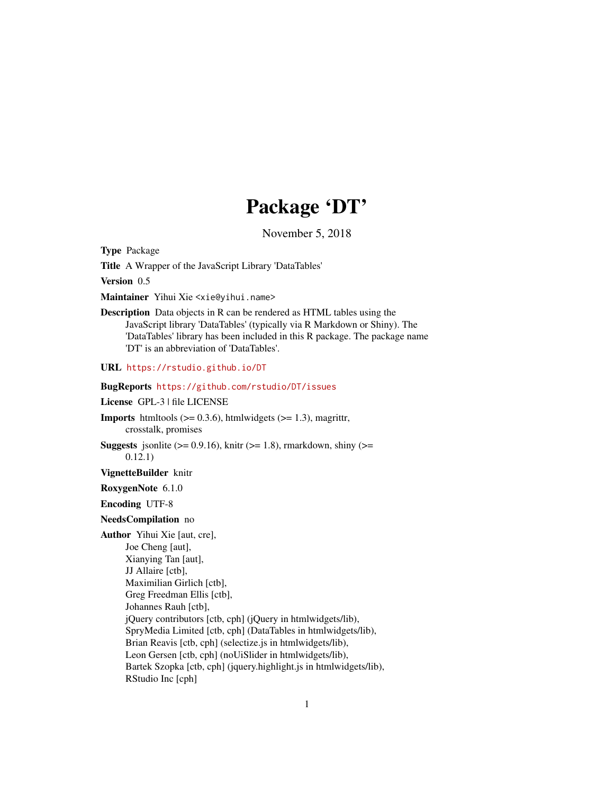# Package 'DT'

November 5, 2018

<span id="page-0-0"></span>Type Package

Title A Wrapper of the JavaScript Library 'DataTables'

Version 0.5

Maintainer Yihui Xie <xie@yihui.name>

Description Data objects in R can be rendered as HTML tables using the JavaScript library 'DataTables' (typically via R Markdown or Shiny). The 'DataTables' library has been included in this R package. The package name 'DT' is an abbreviation of 'DataTables'.

URL <https://rstudio.github.io/DT>

BugReports <https://github.com/rstudio/DT/issues>

License GPL-3 | file LICENSE

**Imports** htmltools  $(>= 0.3.6)$ , htmlwidgets  $(>= 1.3)$ , magrittr, crosstalk, promises

**Suggests** jsonlite ( $> = 0.9.16$ ), knitr ( $> = 1.8$ ), rmarkdown, shiny ( $> =$ 0.12.1)

VignetteBuilder knitr

RoxygenNote 6.1.0

Encoding UTF-8

NeedsCompilation no

Author Yihui Xie [aut, cre], Joe Cheng [aut], Xianying Tan [aut], JJ Allaire [ctb], Maximilian Girlich [ctb], Greg Freedman Ellis [ctb], Johannes Rauh [ctb], jQuery contributors [ctb, cph] (jQuery in htmlwidgets/lib), SpryMedia Limited [ctb, cph] (DataTables in htmlwidgets/lib), Brian Reavis [ctb, cph] (selectize.js in htmlwidgets/lib), Leon Gersen [ctb, cph] (noUiSlider in htmlwidgets/lib), Bartek Szopka [ctb, cph] (jquery.highlight.js in htmlwidgets/lib), RStudio Inc [cph]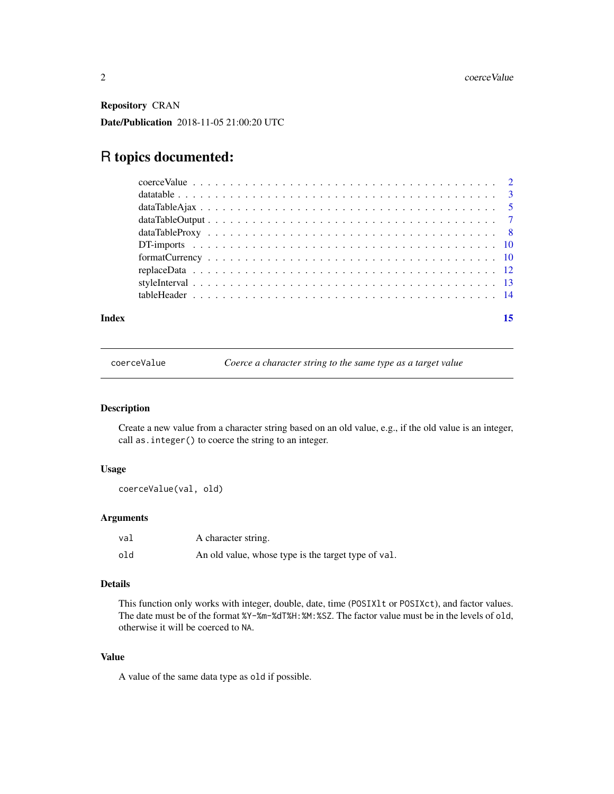<span id="page-1-0"></span>Repository CRAN

Date/Publication 2018-11-05 21:00:20 UTC

## R topics documented:

| Index | 15 |
|-------|----|
|       |    |
|       |    |
|       |    |
|       |    |
|       |    |
|       |    |
|       |    |
|       |    |
|       |    |
|       |    |

coerceValue *Coerce a character string to the same type as a target value*

#### Description

Create a new value from a character string based on an old value, e.g., if the old value is an integer, call as.integer() to coerce the string to an integer.

#### Usage

```
coerceValue(val, old)
```
#### Arguments

| val | A character string.                                 |
|-----|-----------------------------------------------------|
| old | An old value, whose type is the target type of val. |

#### Details

This function only works with integer, double, date, time (POSIXlt or POSIXct), and factor values. The date must be of the format %Y-%m-%dT%H:%M:%SZ. The factor value must be in the levels of old, otherwise it will be coerced to NA.

#### Value

A value of the same data type as old if possible.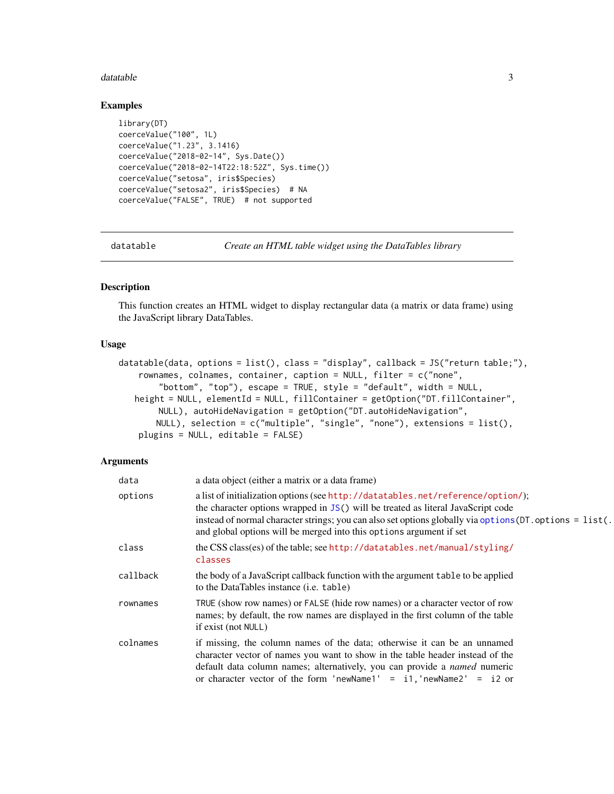#### <span id="page-2-0"></span>datatable 3

#### Examples

```
library(DT)
coerceValue("100", 1L)
coerceValue("1.23", 3.1416)
coerceValue("2018-02-14", Sys.Date())
coerceValue("2018-02-14T22:18:52Z", Sys.time())
coerceValue("setosa", iris$Species)
coerceValue("setosa2", iris$Species) # NA
coerceValue("FALSE", TRUE) # not supported
```
<span id="page-2-1"></span>

datatable *Create an HTML table widget using the DataTables library*

#### Description

This function creates an HTML widget to display rectangular data (a matrix or data frame) using the JavaScript library DataTables.

#### Usage

```
datatable(data, options = list(), class = "display", callback = JS("return table;"),
   rownames, colnames, container, caption = NULL, filter = c("none",
        "bottom", "top"), escape = TRUE, style = "default", width = NULL,
   height = NULL, elementId = NULL, fillContainer = getOption("DT.fillContainer",
       NULL), autoHideNavigation = getOption("DT.autoHideNavigation",
       NULL), selection = c("multiple", "single", "none"), extensions = list(),
   plugins = NULL, editable = FALSE)
```

| data     | a data object (either a matrix or a data frame)                                                                                                                                                                                                                                                                                                         |
|----------|---------------------------------------------------------------------------------------------------------------------------------------------------------------------------------------------------------------------------------------------------------------------------------------------------------------------------------------------------------|
| options  | a list of initialization options (see http://datatables.net/reference/option/);<br>the character options wrapped in JS() will be treated as literal JavaScript code<br>instead of normal character strings; you can also set options globally via options (DT. options = list(.)<br>and global options will be merged into this options argument if set |
| class    | the CSS class(es) of the table; see http://datatables.net/manual/styling/<br>classes                                                                                                                                                                                                                                                                    |
| callback | the body of a JavaScript callback function with the argument table to be applied<br>to the DataTables instance (i.e. table)                                                                                                                                                                                                                             |
| rownames | TRUE (show row names) or FALSE (hide row names) or a character vector of row<br>names; by default, the row names are displayed in the first column of the table<br>if exist (not NULL)                                                                                                                                                                  |
| colnames | if missing, the column names of the data; otherwise it can be an unnamed<br>character vector of names you want to show in the table header instead of the<br>default data column names; alternatively, you can provide a named numeric<br>or character vector of the form 'newName1' = $i1$ , 'newName2' = $i2$ or                                      |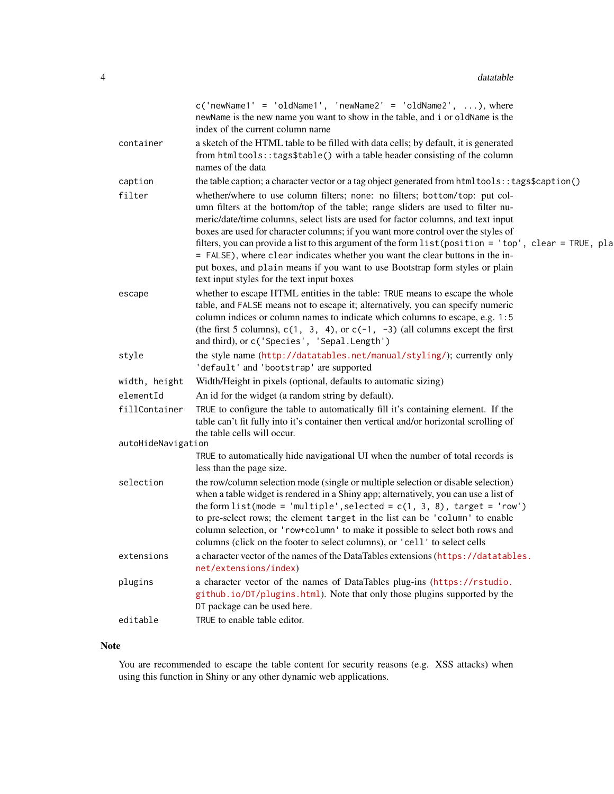|                    | $c('newName1' = 'oldName1', 'newName2' = 'oldName2', ), where$<br>newName is the new name you want to show in the table, and i or oldName is the<br>index of the current column name                                                                                                                                                                                                                                                                                                                                                                                                                                                                               |
|--------------------|--------------------------------------------------------------------------------------------------------------------------------------------------------------------------------------------------------------------------------------------------------------------------------------------------------------------------------------------------------------------------------------------------------------------------------------------------------------------------------------------------------------------------------------------------------------------------------------------------------------------------------------------------------------------|
| container          | a sketch of the HTML table to be filled with data cells; by default, it is generated<br>from htmltools::tags\$table() with a table header consisting of the column<br>names of the data                                                                                                                                                                                                                                                                                                                                                                                                                                                                            |
| caption            | the table caption; a character vector or a tag object generated from html tools:: tags\$caption()                                                                                                                                                                                                                                                                                                                                                                                                                                                                                                                                                                  |
| filter             | whether/where to use column filters; none: no filters; bottom/top: put col-<br>umn filters at the bottom/top of the table; range sliders are used to filter nu-<br>meric/date/time columns, select lists are used for factor columns, and text input<br>boxes are used for character columns; if you want more control over the styles of<br>filters, you can provide a list to this argument of the form list (position = 'top', clear = TRUE, pla<br>= FALSE), where clear indicates whether you want the clear buttons in the in-<br>put boxes, and plain means if you want to use Bootstrap form styles or plain<br>text input styles for the text input boxes |
| escape             | whether to escape HTML entities in the table: TRUE means to escape the whole<br>table, and FALSE means not to escape it; alternatively, you can specify numeric<br>column indices or column names to indicate which columns to escape, e.g. 1:5<br>(the first 5 columns), $c(1, 3, 4)$ , or $c(-1, -3)$ (all columns except the first<br>and third), or c('Species', 'Sepal.Length')                                                                                                                                                                                                                                                                               |
| style              | the style name (http://datatables.net/manual/styling/); currently only<br>'default' and 'bootstrap' are supported                                                                                                                                                                                                                                                                                                                                                                                                                                                                                                                                                  |
| width, height      | Width/Height in pixels (optional, defaults to automatic sizing)                                                                                                                                                                                                                                                                                                                                                                                                                                                                                                                                                                                                    |
| elementId          | An id for the widget (a random string by default).                                                                                                                                                                                                                                                                                                                                                                                                                                                                                                                                                                                                                 |
| fillContainer      | TRUE to configure the table to automatically fill it's containing element. If the<br>table can't fit fully into it's container then vertical and/or horizontal scrolling of<br>the table cells will occur.                                                                                                                                                                                                                                                                                                                                                                                                                                                         |
| autoHideNavigation |                                                                                                                                                                                                                                                                                                                                                                                                                                                                                                                                                                                                                                                                    |
|                    | TRUE to automatically hide navigational UI when the number of total records is<br>less than the page size.                                                                                                                                                                                                                                                                                                                                                                                                                                                                                                                                                         |
| selection          | the row/column selection mode (single or multiple selection or disable selection)<br>when a table widget is rendered in a Shiny app; alternatively, you can use a list of<br>the form list(mode = 'multiple', selected = $c(1, 3, 8)$ , target = 'row')<br>to pre-select rows; the element target in the list can be 'column' to enable<br>column selection, or 'row+column' to make it possible to select both rows and<br>columns (click on the footer to select columns), or 'cell' to select cells                                                                                                                                                             |
| extensions         | a character vector of the names of the DataTables extensions (https://datatables.<br>net/extensions/index)                                                                                                                                                                                                                                                                                                                                                                                                                                                                                                                                                         |
| plugins            | a character vector of the names of DataTables plug-ins (https://rstudio.<br>github.io/DT/plugins.html). Note that only those plugins supported by the<br>DT package can be used here.                                                                                                                                                                                                                                                                                                                                                                                                                                                                              |
| editable           | TRUE to enable table editor.                                                                                                                                                                                                                                                                                                                                                                                                                                                                                                                                                                                                                                       |

### Note

You are recommended to escape the table content for security reasons (e.g. XSS attacks) when using this function in Shiny or any other dynamic web applications.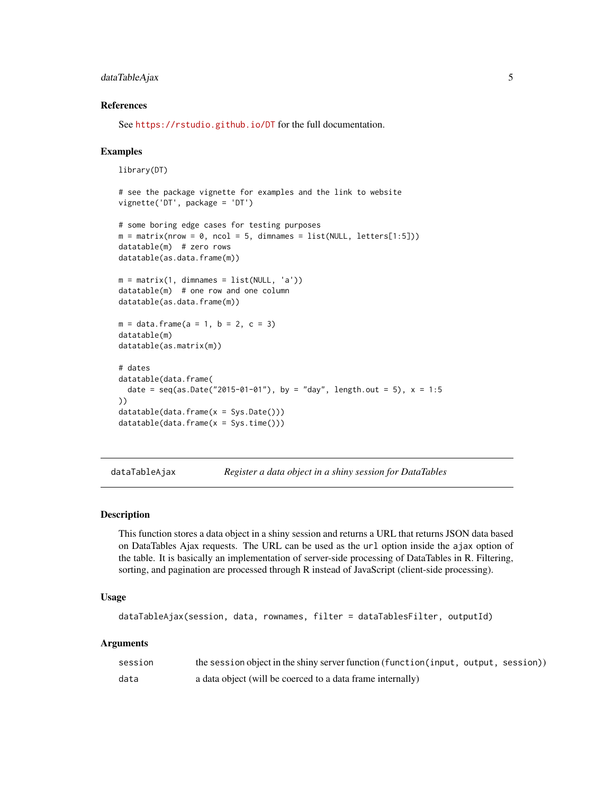#### <span id="page-4-0"></span>dataTableAjax 5

#### References

See <https://rstudio.github.io/DT> for the full documentation.

#### Examples

```
library(DT)
# see the package vignette for examples and the link to website
vignette('DT', package = 'DT')
# some boring edge cases for testing purposes
m = matrix(nrow = 0, ncol = 5, dimnames = list(NULL, letters[1:5]))datatable(m) # zero rows
datatable(as.data.frame(m))
m = matrix(1, dimnames = list(NULL, 'a'))datatable(m) # one row and one column
datatable(as.data.frame(m))
m = data. frame(a = 1, b = 2, c = 3)
datatable(m)
datatable(as.matrix(m))
# dates
datatable(data.frame(
  date = seq(as.Date("2015-01-01"), by = "day", length.out = 5), x = 1:5))
datatable(data.frame(x = Sys.Date()))
datatable(data.frame(x = Sys.time()))
```
<span id="page-4-1"></span>dataTableAjax *Register a data object in a shiny session for DataTables*

#### **Description**

This function stores a data object in a shiny session and returns a URL that returns JSON data based on DataTables Ajax requests. The URL can be used as the url option inside the ajax option of the table. It is basically an implementation of server-side processing of DataTables in R. Filtering, sorting, and pagination are processed through R instead of JavaScript (client-side processing).

#### Usage

```
dataTableAjax(session, data, rownames, filter = dataTablesFilter, outputId)
```

| session | the session object in the shiny server function (function (input, output, session)) |
|---------|-------------------------------------------------------------------------------------|
| data    | a data object (will be coerced to a data frame internally)                          |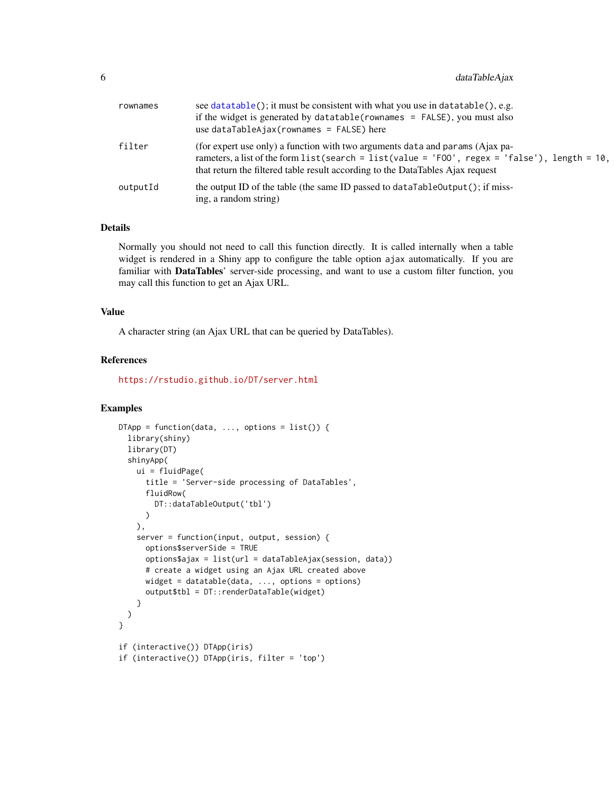<span id="page-5-0"></span>

| rownames | see data table(); it must be consistent with what you use in data table(), e.g.<br>if the widget is generated by datatable (rownames $=$ FALSE), you must also<br>use $dataTableA$ jax(rownames = $FALSE$ ) here                                                      |
|----------|-----------------------------------------------------------------------------------------------------------------------------------------------------------------------------------------------------------------------------------------------------------------------|
| filter   | (for expert use only) a function with two arguments data and params (Ajax pa-<br>rameters, a list of the form list (search = list (value = 'FOO', regex = 'false'), length = $10$ ,<br>that return the filtered table result according to the DataTables Ajax request |
| outputId | the output ID of the table (the same ID passed to $dataTableOutput$ ); if miss-<br>ing, a random string)                                                                                                                                                              |

#### Details

Normally you should not need to call this function directly. It is called internally when a table widget is rendered in a Shiny app to configure the table option ajax automatically. If you are familiar with DataTables' server-side processing, and want to use a custom filter function, you may call this function to get an Ajax URL.

#### Value

A character string (an Ajax URL that can be queried by DataTables).

#### References

<https://rstudio.github.io/DT/server.html>

#### Examples

```
DTApp = function(data, ..., options = list()) {
 library(shiny)
 library(DT)
 shinyApp(
   ui = fluidPage(
     title = 'Server-side processing of DataTables',
     fluidRow(
       DT::dataTableOutput('tbl')
     )
   ),
   server = function(input, output, session) {
     options$serverSide = TRUE
     options$ajax = list(url = dataTableAjax(session, data))
     # create a widget using an Ajax URL created above
     widget = datatable(data, ..., options = options)
     output$tbl = DT::renderDataTable(widget)
   }
 )
}
if (interactive()) DTApp(iris)
if (interactive()) DTApp(iris, filter = 'top')
```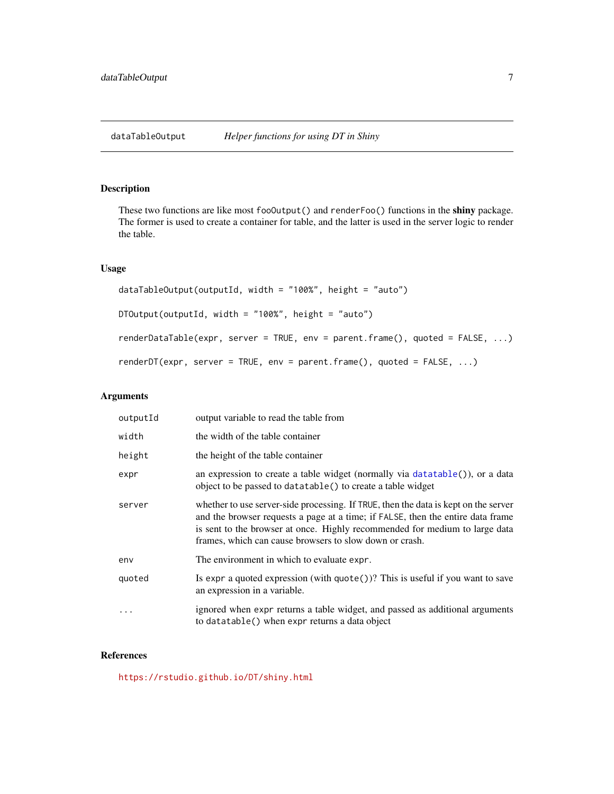#### <span id="page-6-1"></span><span id="page-6-0"></span>Description

These two functions are like most fooOutput() and renderFoo() functions in the shiny package. The former is used to create a container for table, and the latter is used in the server logic to render the table.

#### Usage

```
dataTableOutput(outputId, width = "100%", height = "auto")
DTOutput(outputId, width = "100%", height = "auto")
renderDataTable(expr, server = TRUE, env = parent.frame(), quoted = FALSE, ...)
renderDT(expr, server = TRUE, env = parent.frame(), quoted = FALSE, ...)
```
#### Arguments

| outputId | output variable to read the table from                                                                                                                                                                                                                                                                           |
|----------|------------------------------------------------------------------------------------------------------------------------------------------------------------------------------------------------------------------------------------------------------------------------------------------------------------------|
| width    | the width of the table container                                                                                                                                                                                                                                                                                 |
| height   | the height of the table container                                                                                                                                                                                                                                                                                |
| expr     | an expression to create a table widget (normally via $datatable()$ ), or a data<br>object to be passed to datatable() to create a table widget                                                                                                                                                                   |
| server   | whether to use server-side processing. If TRUE, then the data is kept on the server<br>and the browser requests a page at a time; if FALSE, then the entire data frame<br>is sent to the browser at once. Highly recommended for medium to large data<br>frames, which can cause browsers to slow down or crash. |
| env      | The environment in which to evaluate expr.                                                                                                                                                                                                                                                                       |
| quoted   | Is expr a quoted expression (with $\text{quote}()$ )? This is useful if you want to save<br>an expression in a variable.                                                                                                                                                                                         |
|          | ignored when expr returns a table widget, and passed as additional arguments<br>to datatable() when expr returns a data object                                                                                                                                                                                   |

#### References

<https://rstudio.github.io/DT/shiny.html>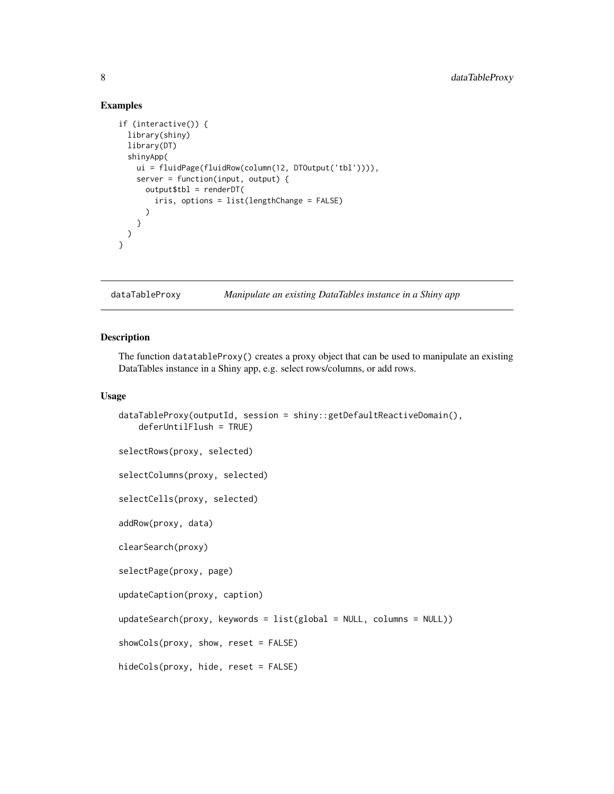#### Examples

```
if (interactive()) {
 library(shiny)
 library(DT)
 shinyApp(
   ui = fluidPage(fluidRow(column(12, DTOutput('tbl')))),
   server = function(input, output) {
     output$th1 = renderDT(iris, options = list(lengthChange = FALSE)
     )
   }
 )
}
```
dataTableProxy *Manipulate an existing DataTables instance in a Shiny app*

#### <span id="page-7-1"></span>Description

The function datatableProxy() creates a proxy object that can be used to manipulate an existing DataTables instance in a Shiny app, e.g. select rows/columns, or add rows.

#### Usage

```
dataTableProxy(outputId, session = shiny::getDefaultReactiveDomain(),
   deferUntilFlush = TRUE)
selectRows(proxy, selected)
selectColumns(proxy, selected)
selectCells(proxy, selected)
addRow(proxy, data)
clearSearch(proxy)
selectPage(proxy, page)
updateCaption(proxy, caption)
updateSearch(proxy, keywords = list(global = NULL, columns = NULL))
showCols(proxy, show, reset = FALSE)
hideCols(proxy, hide, reset = FALSE)
```
<span id="page-7-0"></span>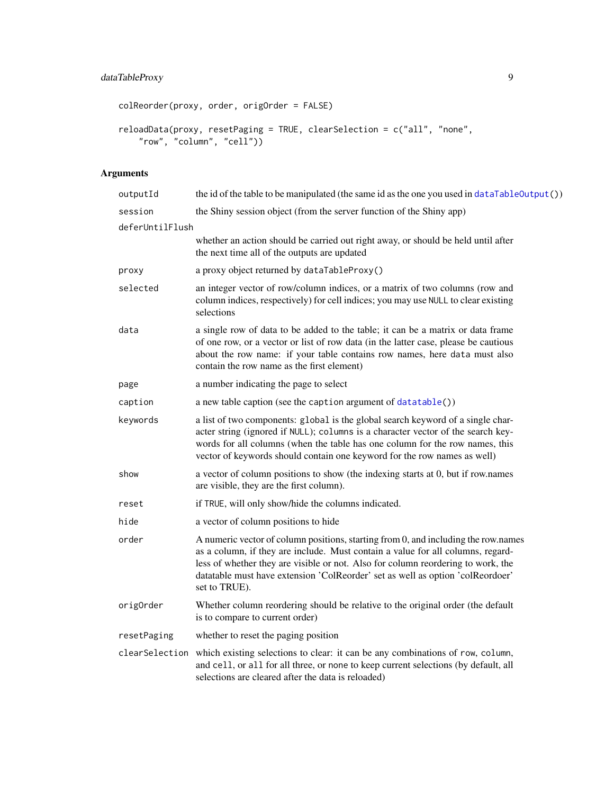```
colReorder(proxy, order, origOrder = FALSE)
reloadData(proxy, resetPaging = TRUE, clearSelection = c("all", "none",
    "row", "column", "cell"))
```

| outputId        | the id of the table to be manipulated (the same id as the one you used in dataTableOutput())                                                                                                                                                                                                                                                                 |
|-----------------|--------------------------------------------------------------------------------------------------------------------------------------------------------------------------------------------------------------------------------------------------------------------------------------------------------------------------------------------------------------|
| session         | the Shiny session object (from the server function of the Shiny app)                                                                                                                                                                                                                                                                                         |
| deferUntilFlush |                                                                                                                                                                                                                                                                                                                                                              |
|                 | whether an action should be carried out right away, or should be held until after<br>the next time all of the outputs are updated                                                                                                                                                                                                                            |
| proxy           | a proxy object returned by dataTableProxy()                                                                                                                                                                                                                                                                                                                  |
| selected        | an integer vector of row/column indices, or a matrix of two columns (row and<br>column indices, respectively) for cell indices; you may use NULL to clear existing<br>selections                                                                                                                                                                             |
| data            | a single row of data to be added to the table; it can be a matrix or data frame<br>of one row, or a vector or list of row data (in the latter case, please be cautious<br>about the row name: if your table contains row names, here data must also<br>contain the row name as the first element)                                                            |
| page            | a number indicating the page to select                                                                                                                                                                                                                                                                                                                       |
| caption         | a new table caption (see the caption argument of datatable())                                                                                                                                                                                                                                                                                                |
| keywords        | a list of two components: global is the global search keyword of a single char-<br>acter string (ignored if NULL); columns is a character vector of the search key-<br>words for all columns (when the table has one column for the row names, this<br>vector of keywords should contain one keyword for the row names as well)                              |
| show            | a vector of column positions to show (the indexing starts at 0, but if row.names<br>are visible, they are the first column).                                                                                                                                                                                                                                 |
| reset           | if TRUE, will only show/hide the columns indicated.                                                                                                                                                                                                                                                                                                          |
| hide            | a vector of column positions to hide                                                                                                                                                                                                                                                                                                                         |
| order           | A numeric vector of column positions, starting from 0, and including the row.names<br>as a column, if they are include. Must contain a value for all columns, regard-<br>less of whether they are visible or not. Also for column reordering to work, the<br>datatable must have extension 'ColReorder' set as well as option 'colReordoer'<br>set to TRUE). |
| origOrder       | Whether column reordering should be relative to the original order (the default<br>is to compare to current order)                                                                                                                                                                                                                                           |
| resetPaging     | whether to reset the paging position                                                                                                                                                                                                                                                                                                                         |
|                 | clearSelection which existing selections to clear: it can be any combinations of row, column,<br>and cell, or all for all three, or none to keep current selections (by default, all<br>selections are cleared after the data is reloaded)                                                                                                                   |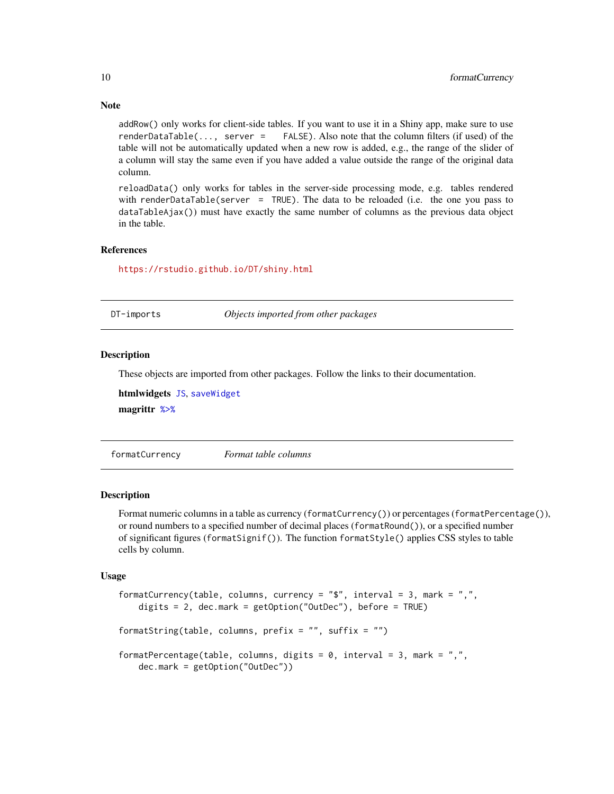addRow() only works for client-side tables. If you want to use it in a Shiny app, make sure to use renderDataTable(..., server = FALSE). Also note that the column filters (if used) of the table will not be automatically updated when a new row is added, e.g., the range of the slider of a column will stay the same even if you have added a value outside the range of the original data column.

reloadData() only works for tables in the server-side processing mode, e.g. tables rendered with renderDataTable(server = TRUE). The data to be reloaded (i.e. the one you pass to dataTableAjax()) must have exactly the same number of columns as the previous data object in the table.

#### References

<https://rstudio.github.io/DT/shiny.html>

DT-imports *Objects imported from other packages*

#### <span id="page-9-1"></span>Description

These objects are imported from other packages. Follow the links to their documentation.

htmlwidgets [JS](#page-9-1), [saveWidget](#page-9-1) magrittr [%>%](#page-9-1)

formatCurrency *Format table columns*

#### <span id="page-9-2"></span>Description

Format numeric columns in a table as currency (formatCurrency()) or percentages (formatPercentage()), or round numbers to a specified number of decimal places (formatRound()), or a specified number of significant figures (formatSignif()). The function formatStyle() applies CSS styles to table cells by column.

#### Usage

```
formatCurrency(table, columns, currency = "$", interval = 3, mark = ",",
   digits = 2, dec.mark = getOption("OutDec"), before = TRUE)
formatString(table, columns, prefix = ", suffix = ")
formatPercentage(table, columns, digits = 0, interval = 3, mark = ",",
   dec.mark = getOption("OutDec"))
```
<span id="page-9-0"></span>

#### **Note**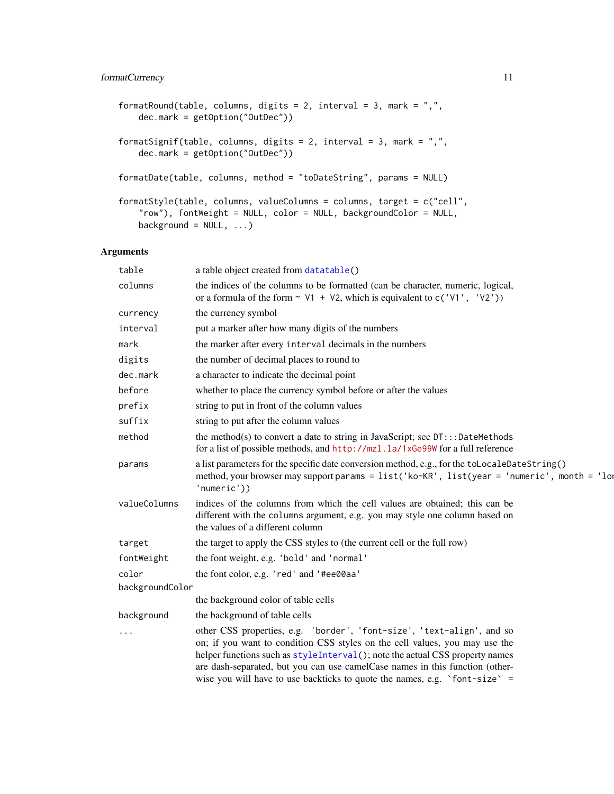#### <span id="page-10-0"></span>formatCurrency 11

```
formatRound(table, columns, digits = 2, interval = 3, mark = ",",dec.mark = getOption("OutDec"))
formatSignif(table, columns, digits = 2, interval = 3, mark = ",",dec.mark = getOption("OutDec"))
formatDate(table, columns, method = "toDateString", params = NULL)
formatStyle(table, columns, valueColumns = columns, target = c("cell",
   "row"), fontWeight = NULL, color = NULL, backgroundColor = NULL,
   background = NULL, ...)
```

| table           | a table object created from datatable()                                                                                                                                                                                                                                                                                                                                                             |
|-----------------|-----------------------------------------------------------------------------------------------------------------------------------------------------------------------------------------------------------------------------------------------------------------------------------------------------------------------------------------------------------------------------------------------------|
| columns         | the indices of the columns to be formatted (can be character, numeric, logical,<br>or a formula of the form $\sim$ V1 + V2, which is equivalent to c('V1', 'V2'))                                                                                                                                                                                                                                   |
| currency        | the currency symbol                                                                                                                                                                                                                                                                                                                                                                                 |
| interval        | put a marker after how many digits of the numbers                                                                                                                                                                                                                                                                                                                                                   |
| mark            | the marker after every interval decimals in the numbers                                                                                                                                                                                                                                                                                                                                             |
| digits          | the number of decimal places to round to                                                                                                                                                                                                                                                                                                                                                            |
| dec.mark        | a character to indicate the decimal point                                                                                                                                                                                                                                                                                                                                                           |
| before          | whether to place the currency symbol before or after the values                                                                                                                                                                                                                                                                                                                                     |
| prefix          | string to put in front of the column values                                                                                                                                                                                                                                                                                                                                                         |
| suffix          | string to put after the column values                                                                                                                                                                                                                                                                                                                                                               |
| method          | the method(s) to convert a date to string in JavaScript; see $DT:::$ DateMethods<br>for a list of possible methods, and http://mzl.la/1xGe99W for a full reference                                                                                                                                                                                                                                  |
| params          | a list parameters for the specific date conversion method, e.g., for the toLocaleDateString()<br>method, your browser may support params = list('ko-KR', list(year = 'numeric', month = 'lor<br>'numeric'))                                                                                                                                                                                         |
| valueColumns    | indices of the columns from which the cell values are obtained; this can be<br>different with the columns argument, e.g. you may style one column based on<br>the values of a different column                                                                                                                                                                                                      |
| target          | the target to apply the CSS styles to (the current cell or the full row)                                                                                                                                                                                                                                                                                                                            |
| fontWeight      | the font weight, e.g. 'bold' and 'normal'                                                                                                                                                                                                                                                                                                                                                           |
| color           | the font color, e.g. 'red' and '#ee00aa'                                                                                                                                                                                                                                                                                                                                                            |
| backgroundColor |                                                                                                                                                                                                                                                                                                                                                                                                     |
|                 | the background color of table cells                                                                                                                                                                                                                                                                                                                                                                 |
| background      | the background of table cells                                                                                                                                                                                                                                                                                                                                                                       |
| $\cdots$        | other CSS properties, e.g. 'border', 'font-size', 'text-align', and so<br>on; if you want to condition CSS styles on the cell values, you may use the<br>helper functions such as styleInterval(); note the actual CSS property names<br>are dash-separated, but you can use camelCase names in this function (other-<br>wise you will have to use backticks to quote the names, e.g. 'font-size' = |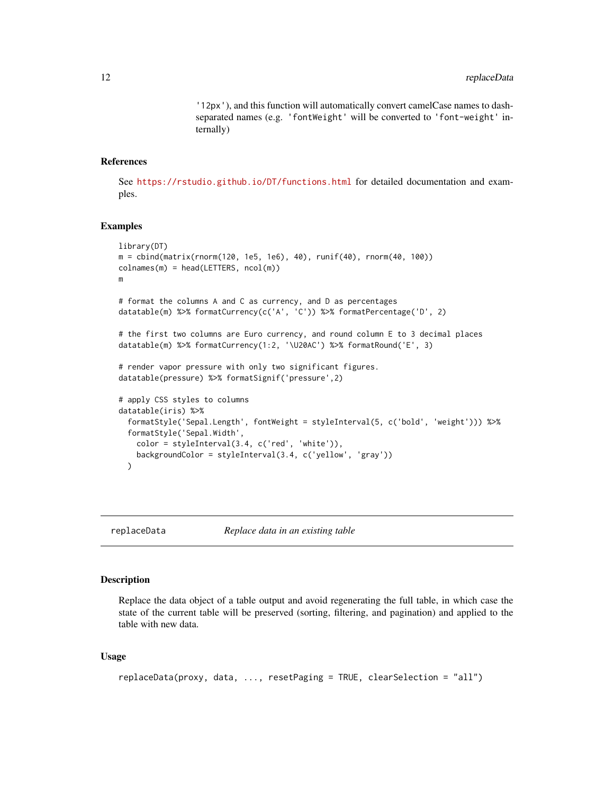'12px'), and this function will automatically convert camelCase names to dashseparated names (e.g. 'fontWeight' will be converted to 'font-weight' internally)

#### <span id="page-11-0"></span>References

See <https://rstudio.github.io/DT/functions.html> for detailed documentation and examples.

#### Examples

```
library(DT)
m = cbind(matrix(rnorm(120, 1e5, 1e6), 40), runif(40), rnorm(40, 100))
colnames(m) = head(LETTERS, ncol(m))m
# format the columns A and C as currency, and D as percentages
datatable(m) %>% formatCurrency(c('A', 'C')) %>% formatPercentage('D', 2)
# the first two columns are Euro currency, and round column E to 3 decimal places
datatable(m) %>% formatCurrency(1:2, '\U20AC') %>% formatRound('E', 3)
# render vapor pressure with only two significant figures.
datatable(pressure) %>% formatSignif('pressure',2)
# apply CSS styles to columns
datatable(iris) %>%
  formatStyle('Sepal.Length', fontWeight = styleInterval(5, c('bold', 'weight'))) %>%
  formatStyle('Sepal.Width',
   color = styleInterval(3.4, c('red', 'white')),
    backgroundColor = styleInterval(3.4, c('yellow', 'gray'))
  )
```
replaceData *Replace data in an existing table*

#### Description

Replace the data object of a table output and avoid regenerating the full table, in which case the state of the current table will be preserved (sorting, filtering, and pagination) and applied to the table with new data.

#### Usage

```
replaceData(proxy, data, ..., resetPaging = TRUE, clearSelection = "all")
```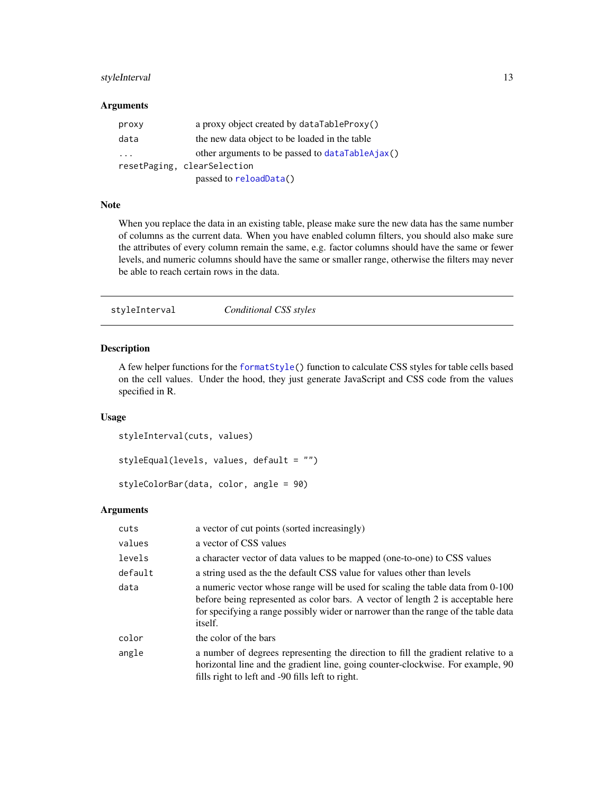#### <span id="page-12-0"></span>styleInterval 13

#### Arguments

| proxy                   | a proxy object created by dataTableProxy()      |
|-------------------------|-------------------------------------------------|
| data                    | the new data object to be loaded in the table   |
| $\cdot$ $\cdot$ $\cdot$ | other arguments to be passed to dataTableAjax() |
|                         | resetPaging, clearSelection                     |
|                         | passed to reloadData()                          |

#### Note

When you replace the data in an existing table, please make sure the new data has the same number of columns as the current data. When you have enabled column filters, you should also make sure the attributes of every column remain the same, e.g. factor columns should have the same or fewer levels, and numeric columns should have the same or smaller range, otherwise the filters may never be able to reach certain rows in the data.

<span id="page-12-1"></span>styleInterval *Conditional CSS styles*

#### Description

A few helper functions for the [formatStyle\(](#page-9-2)) function to calculate CSS styles for table cells based on the cell values. Under the hood, they just generate JavaScript and CSS code from the values specified in R.

#### Usage

```
styleInterval(cuts, values)
styleEqual(levels, values, default = "")
```

```
styleColorBar(data, color, angle = 90)
```

| cuts    | a vector of cut points (sorted increasingly)                                                                                                                                                                                                                        |
|---------|---------------------------------------------------------------------------------------------------------------------------------------------------------------------------------------------------------------------------------------------------------------------|
| values  | a vector of CSS values                                                                                                                                                                                                                                              |
| levels  | a character vector of data values to be mapped (one-to-one) to CSS values                                                                                                                                                                                           |
| default | a string used as the the default CSS value for values other than levels                                                                                                                                                                                             |
| data    | a numeric vector whose range will be used for scaling the table data from 0-100<br>before being represented as color bars. A vector of length 2 is acceptable here<br>for specifying a range possibly wider or narrower than the range of the table data<br>itself. |
| color   | the color of the bars                                                                                                                                                                                                                                               |
| angle   | a number of degrees representing the direction to fill the gradient relative to a<br>horizontal line and the gradient line, going counter-clockwise. For example, 90<br>fills right to left and -90 fills left to right.                                            |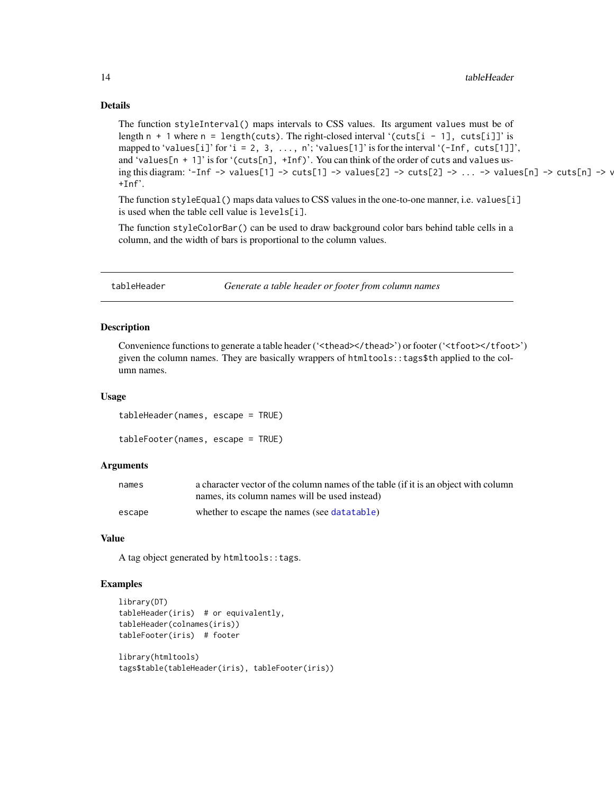#### Details

```
The function styleInterval() maps intervals to CSS values. Its argument values must be of
length n + 1 where n = length(cuts). The right-closed interval '(cuts[i - 1], cuts[i]]' is
mapped to 'values[i]' for 'i = 2, 3, ..., n'; 'values[1]' is for the interval '(-Inf, cuts[1]]',
and 'values[n + 1]' is for '(cuts[n], +Inf)'. You can think of the order of cuts and values us-
ing this diagram: '-Inf -> values[1] -> cuts[1] -> values[2] -> cuts[2] -> ... -> values[n] -> cuts[n] -> v
+Inf<sup>2</sup>.
```
The function styleEqual() maps data values to CSS values in the one-to-one manner, i.e. values[i] is used when the table cell value is levels[i].

The function styleColorBar() can be used to draw background color bars behind table cells in a column, and the width of bars is proportional to the column values.

tableHeader *Generate a table header or footer from column names*

#### Description

Convenience functions to generate a table header ('<thead></thead>') or footer ('<tfoot></tfoot>') given the column names. They are basically wrappers of htmltools::tags\$th applied to the column names.

#### Usage

tableHeader(names, escape = TRUE) tableFooter(names, escape = TRUE)

#### Arguments

| names  | a character vector of the column names of the table (if it is an object with column |
|--------|-------------------------------------------------------------------------------------|
|        | names, its column names will be used instead)                                       |
| escape | whether to escape the names (see data table)                                        |

#### Value

A tag object generated by htmltools::tags.

#### Examples

```
library(DT)
tableHeader(iris) # or equivalently,
tableHeader(colnames(iris))
tableFooter(iris) # footer
library(htmltools)
```

```
tags$table(tableHeader(iris), tableFooter(iris))
```
<span id="page-13-0"></span>